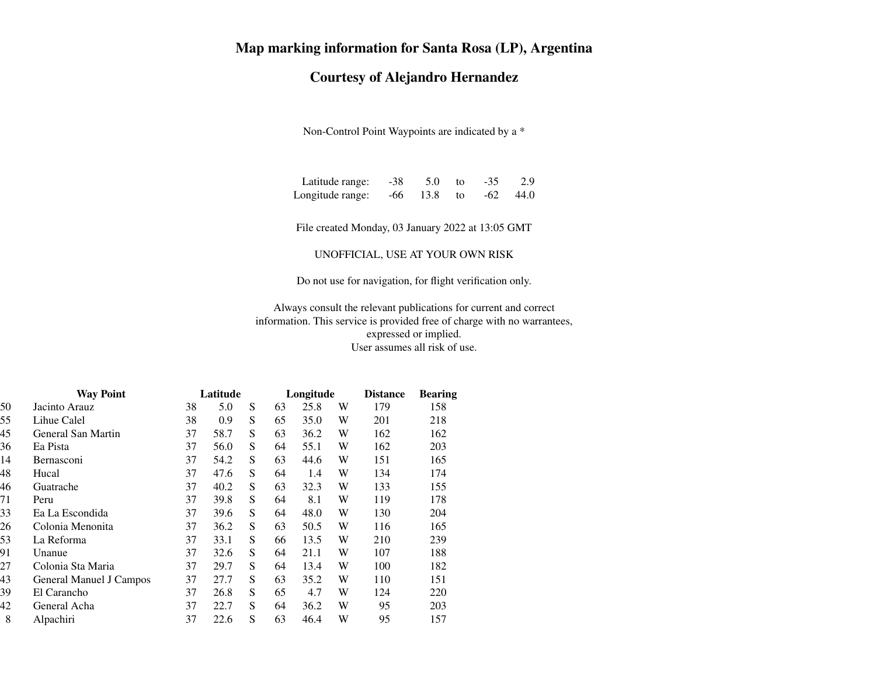## **Map marking information for Santa Rosa (LP), Argentina**

## **Courtesy of Alejandro Hernandez**

Non-Control Point Waypoints are indicated by a \*

| Latitude range:  | -38 | 5.0        | to. | $-35$ | 2.9  |
|------------------|-----|------------|-----|-------|------|
| Longitude range: |     | $-66$ 13.8 | to  | -62   | 44.0 |

File created Monday, 03 January 2022 at 13:05 GMT

UNOFFICIAL, USE AT YOUR OWN RISK

Do not use for navigation, for flight verification only.

Always consult the relevant publications for current and correct information. This service is provided free of charge with no warrantees,expressed or implied.User assumes all risk of use.

|    | <b>Way Point</b>        | Latitude |      |   |    | Longitude |   | <b>Distance</b> | <b>Bearing</b> |
|----|-------------------------|----------|------|---|----|-----------|---|-----------------|----------------|
| 50 | Jacinto Arauz           | 38       | 5.0  | S | 63 | 25.8      | W | 179             | 158            |
| 55 | Lihue Calel             | 38       | 0.9  | S | 65 | 35.0      | W | 201             | 218            |
| 45 | General San Martin      | 37       | 58.7 | S | 63 | 36.2      | W | 162             | 162            |
| 36 | Ea Pista                | 37       | 56.0 | S | 64 | 55.1      | W | 162             | 203            |
| 14 | <b>Bernasconi</b>       | 37       | 54.2 | S | 63 | 44.6      | W | 151             | 165            |
| 48 | Hucal                   | 37       | 47.6 | S | 64 | 1.4       | W | 134             | 174            |
| 46 | Guatrache               | 37       | 40.2 | S | 63 | 32.3      | W | 133             | 155            |
| 71 | Peru                    | 37       | 39.8 | S | 64 | 8.1       | W | 119             | 178            |
| 33 | Ea La Escondida         | 37       | 39.6 | S | 64 | 48.0      | W | 130             | 204            |
| 26 | Colonia Menonita        | 37       | 36.2 | S | 63 | 50.5      | W | 116             | 165            |
| 53 | La Reforma              | 37       | 33.1 | S | 66 | 13.5      | W | 210             | 239            |
| 91 | Unanue                  | 37       | 32.6 | S | 64 | 21.1      | W | 107             | 188            |
| 27 | Colonia Sta Maria       | 37       | 29.7 | S | 64 | 13.4      | W | 100             | 182            |
| 43 | General Manuel J Campos | 37       | 27.7 | S | 63 | 35.2      | W | 110             | 151            |
| 39 | El Carancho             | 37       | 26.8 | S | 65 | 4.7       | W | 124             | 220            |
| 42 | General Acha            | 37       | 22.7 | S | 64 | 36.2      | W | 95              | 203            |
| 8  | Alpachiri               | 37       | 22.6 | S | 63 | 46.4      | W | 95              | 157            |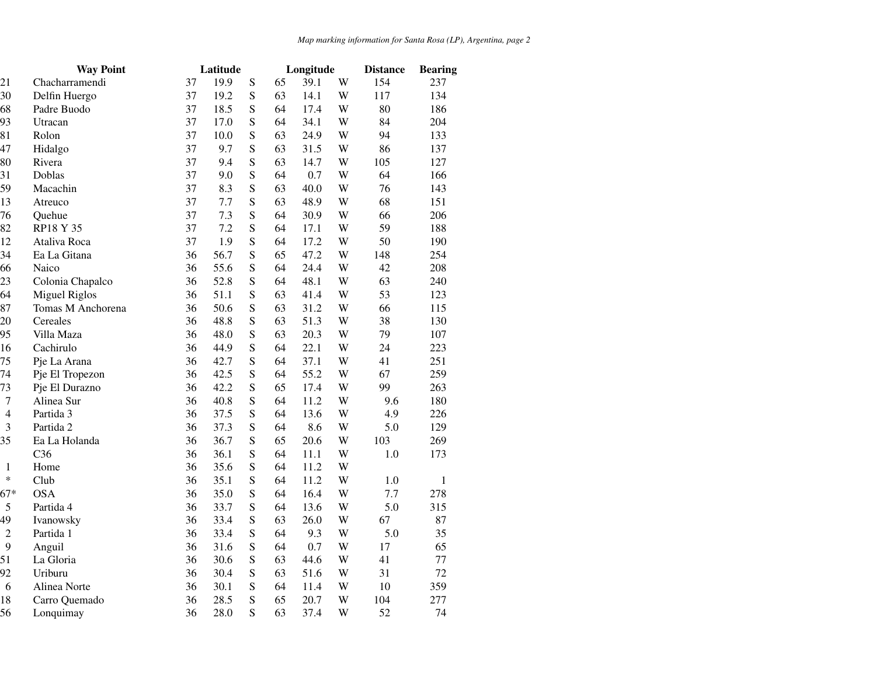|                | <b>Way Point</b>     |    | Latitude |           |    | Longitude |   | <b>Distance</b> | <b>Bearing</b> |
|----------------|----------------------|----|----------|-----------|----|-----------|---|-----------------|----------------|
| 21             | Chacharramendi       | 37 | 19.9     | ${\bf S}$ | 65 | 39.1      | W | 154             | 237            |
| 30             | Delfin Huergo        | 37 | 19.2     | S         | 63 | 14.1      | W | 117             | 134            |
| 68             | Padre Buodo          | 37 | 18.5     | ${\bf S}$ | 64 | 17.4      | W | 80              | 186            |
| 93             | Utracan              | 37 | 17.0     | S         | 64 | 34.1      | W | 84              | 204            |
| 81             | Rolon                | 37 | 10.0     | S         | 63 | 24.9      | W | 94              | 133            |
| 47             | Hidalgo              | 37 | 9.7      | S         | 63 | 31.5      | W | 86              | 137            |
| 80             | Rivera               | 37 | 9.4      | ${\bf S}$ | 63 | 14.7      | W | 105             | 127            |
| 31             | Doblas               | 37 | 9.0      | S         | 64 | 0.7       | W | 64              | 166            |
| 59             | Macachin             | 37 | 8.3      | S         | 63 | 40.0      | W | 76              | 143            |
| 13             | Atreuco              | 37 | 7.7      | S         | 63 | 48.9      | W | 68              | 151            |
| 76             | Quehue               | 37 | 7.3      | S         | 64 | 30.9      | W | 66              | 206            |
| 82             | RP18 Y 35            | 37 | 7.2      | S         | 64 | 17.1      | W | 59              | 188            |
| 12             | Ataliva Roca         | 37 | 1.9      | S         | 64 | 17.2      | W | 50              | 190            |
| 34             | Ea La Gitana         | 36 | 56.7     | ${\bf S}$ | 65 | 47.2      | W | 148             | 254            |
| 66             | Naico                | 36 | 55.6     | ${\bf S}$ | 64 | 24.4      | W | 42              | 208            |
| 23             | Colonia Chapalco     | 36 | 52.8     | ${\bf S}$ | 64 | 48.1      | W | 63              | 240            |
| 64             | <b>Miguel Riglos</b> | 36 | 51.1     | S         | 63 | 41.4      | W | 53              | 123            |
| 87             | Tomas M Anchorena    | 36 | 50.6     | ${\bf S}$ | 63 | 31.2      | W | 66              | 115            |
| 20             | Cereales             | 36 | 48.8     | S         | 63 | 51.3      | W | 38              | 130            |
| 95             | Villa Maza           | 36 | 48.0     | ${\bf S}$ | 63 | 20.3      | W | 79              | 107            |
| 16             | Cachirulo            | 36 | 44.9     | ${\bf S}$ | 64 | 22.1      | W | 24              | 223            |
| 75             | Pje La Arana         | 36 | 42.7     | S         | 64 | 37.1      | W | 41              | 251            |
| 74             | Pje El Tropezon      | 36 | 42.5     | S         | 64 | 55.2      | W | 67              | 259            |
| 73             | Pje El Durazno       | 36 | 42.2     | ${\bf S}$ | 65 | 17.4      | W | 99              | 263            |
| $\overline{7}$ | Alinea Sur           | 36 | 40.8     | S         | 64 | 11.2      | W | 9.6             | 180            |
| $\overline{4}$ | Partida 3            | 36 | 37.5     | S         | 64 | 13.6      | W | 4.9             | 226            |
| 3              | Partida 2            | 36 | 37.3     | S         | 64 | 8.6       | W | 5.0             | 129            |
| 35             | Ea La Holanda        | 36 | 36.7     | ${\bf S}$ | 65 | 20.6      | W | 103             | 269            |
|                | C <sub>36</sub>      | 36 | 36.1     | ${\bf S}$ | 64 | 11.1      | W | $1.0\,$         | 173            |
| 1              | Home                 | 36 | 35.6     | S         | 64 | 11.2      | W |                 |                |
| $\ast$         | Club                 | 36 | 35.1     | ${\bf S}$ | 64 | 11.2      | W | 1.0             | $\mathbf{1}$   |
| $67*$          | <b>OSA</b>           | 36 | 35.0     | ${\bf S}$ | 64 | 16.4      | W | 7.7             | 278            |
| 5              | Partida 4            | 36 | 33.7     | ${\bf S}$ | 64 | 13.6      | W | 5.0             | 315            |
| 49             | Ivanowsky            | 36 | 33.4     | S         | 63 | 26.0      | W | 67              | 87             |
| $\overline{2}$ | Partida 1            | 36 | 33.4     | ${\bf S}$ | 64 | 9.3       | W | 5.0             | 35             |
| 9              | Anguil               | 36 | 31.6     | S         | 64 | 0.7       | W | 17              | 65             |
| 51             | La Gloria            | 36 | 30.6     | ${\bf S}$ | 63 | 44.6      | W | 41              | 77             |
| 92             | Uriburu              | 36 | 30.4     | ${\bf S}$ | 63 | 51.6      | W | 31              | 72             |
| 6              | Alinea Norte         | 36 | 30.1     | S         | 64 | 11.4      | W | 10              | 359            |
| 18             | Carro Quemado        | 36 | 28.5     | S         | 65 | 20.7      | W | 104             | 277            |
| 56             | Lonquimay            | 36 | 28.0     | S         | 63 | 37.4      | W | 52              | 74             |
|                |                      |    |          |           |    |           |   |                 |                |